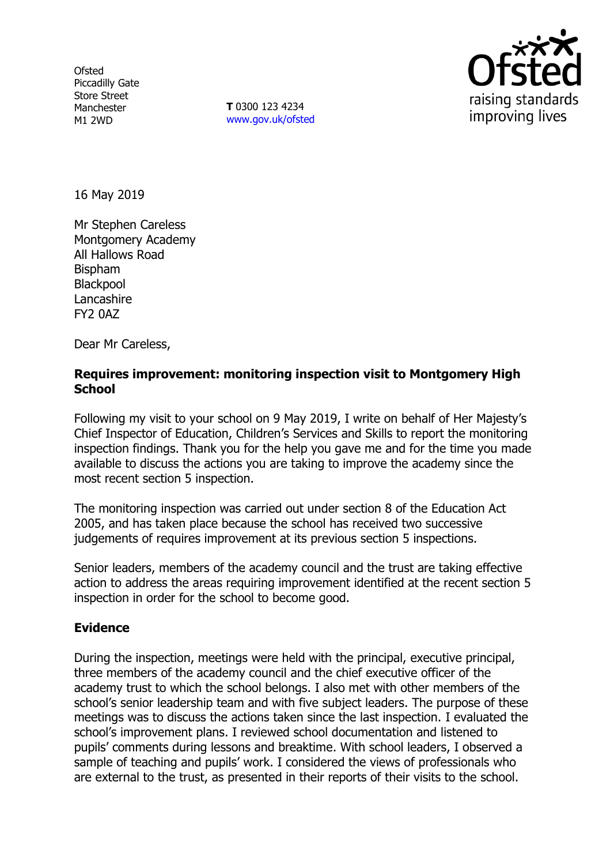**Ofsted** Piccadilly Gate Store Street Manchester M1 2WD

**T** 0300 123 4234 www.gov.uk/ofsted



16 May 2019

Mr Stephen Careless Montgomery Academy All Hallows Road Bispham **Blackpool Lancashire** FY2 0AZ

Dear Mr Careless,

# **Requires improvement: monitoring inspection visit to Montgomery High School**

Following my visit to your school on 9 May 2019, I write on behalf of Her Majesty's Chief Inspector of Education, Children's Services and Skills to report the monitoring inspection findings. Thank you for the help you gave me and for the time you made available to discuss the actions you are taking to improve the academy since the most recent section 5 inspection.

The monitoring inspection was carried out under section 8 of the Education Act 2005, and has taken place because the school has received two successive judgements of requires improvement at its previous section 5 inspections.

Senior leaders, members of the academy council and the trust are taking effective action to address the areas requiring improvement identified at the recent section 5 inspection in order for the school to become good.

### **Evidence**

During the inspection, meetings were held with the principal, executive principal, three members of the academy council and the chief executive officer of the academy trust to which the school belongs. I also met with other members of the school's senior leadership team and with five subject leaders. The purpose of these meetings was to discuss the actions taken since the last inspection. I evaluated the school's improvement plans. I reviewed school documentation and listened to pupils' comments during lessons and breaktime. With school leaders, I observed a sample of teaching and pupils' work. I considered the views of professionals who are external to the trust, as presented in their reports of their visits to the school.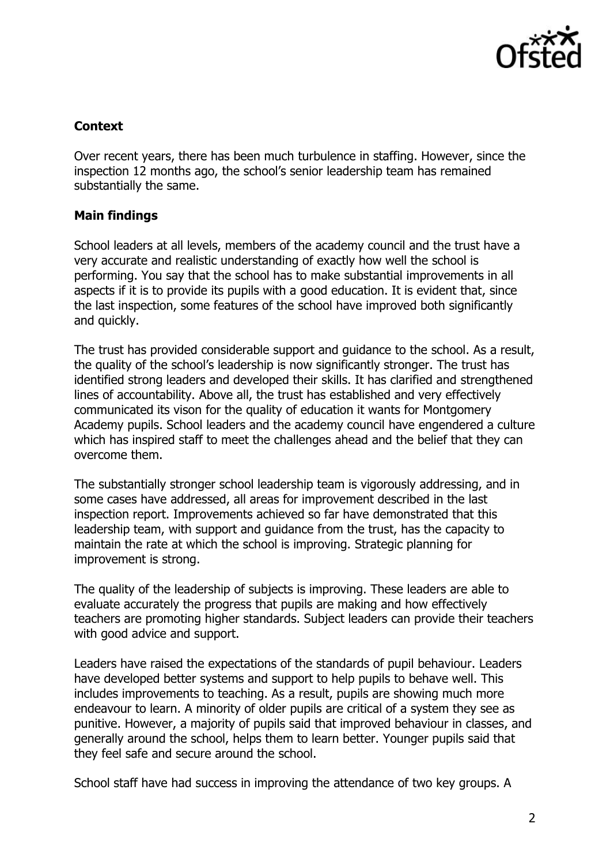

# **Context**

Over recent years, there has been much turbulence in staffing. However, since the inspection 12 months ago, the school's senior leadership team has remained substantially the same.

# **Main findings**

School leaders at all levels, members of the academy council and the trust have a very accurate and realistic understanding of exactly how well the school is performing. You say that the school has to make substantial improvements in all aspects if it is to provide its pupils with a good education. It is evident that, since the last inspection, some features of the school have improved both significantly and quickly.

The trust has provided considerable support and guidance to the school. As a result, the quality of the school's leadership is now significantly stronger. The trust has identified strong leaders and developed their skills. It has clarified and strengthened lines of accountability. Above all, the trust has established and very effectively communicated its vison for the quality of education it wants for Montgomery Academy pupils. School leaders and the academy council have engendered a culture which has inspired staff to meet the challenges ahead and the belief that they can overcome them.

The substantially stronger school leadership team is vigorously addressing, and in some cases have addressed, all areas for improvement described in the last inspection report. Improvements achieved so far have demonstrated that this leadership team, with support and guidance from the trust, has the capacity to maintain the rate at which the school is improving. Strategic planning for improvement is strong.

The quality of the leadership of subjects is improving. These leaders are able to evaluate accurately the progress that pupils are making and how effectively teachers are promoting higher standards. Subject leaders can provide their teachers with good advice and support.

Leaders have raised the expectations of the standards of pupil behaviour. Leaders have developed better systems and support to help pupils to behave well. This includes improvements to teaching. As a result, pupils are showing much more endeavour to learn. A minority of older pupils are critical of a system they see as punitive. However, a majority of pupils said that improved behaviour in classes, and generally around the school, helps them to learn better. Younger pupils said that they feel safe and secure around the school.

School staff have had success in improving the attendance of two key groups. A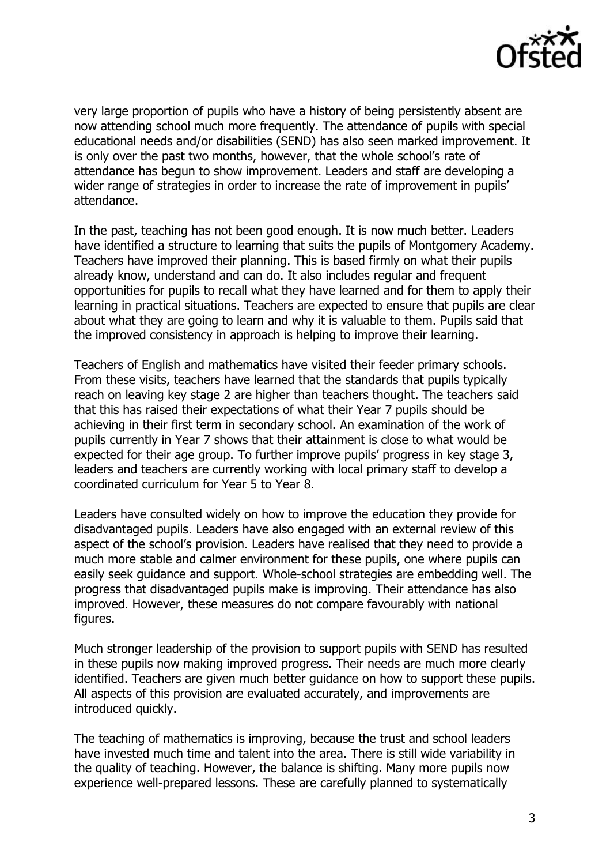

very large proportion of pupils who have a history of being persistently absent are now attending school much more frequently. The attendance of pupils with special educational needs and/or disabilities (SEND) has also seen marked improvement. It is only over the past two months, however, that the whole school's rate of attendance has begun to show improvement. Leaders and staff are developing a wider range of strategies in order to increase the rate of improvement in pupils' attendance.

In the past, teaching has not been good enough. It is now much better. Leaders have identified a structure to learning that suits the pupils of Montgomery Academy. Teachers have improved their planning. This is based firmly on what their pupils already know, understand and can do. It also includes regular and frequent opportunities for pupils to recall what they have learned and for them to apply their learning in practical situations. Teachers are expected to ensure that pupils are clear about what they are going to learn and why it is valuable to them. Pupils said that the improved consistency in approach is helping to improve their learning.

Teachers of English and mathematics have visited their feeder primary schools. From these visits, teachers have learned that the standards that pupils typically reach on leaving key stage 2 are higher than teachers thought. The teachers said that this has raised their expectations of what their Year 7 pupils should be achieving in their first term in secondary school. An examination of the work of pupils currently in Year 7 shows that their attainment is close to what would be expected for their age group. To further improve pupils' progress in key stage 3, leaders and teachers are currently working with local primary staff to develop a coordinated curriculum for Year 5 to Year 8.

Leaders have consulted widely on how to improve the education they provide for disadvantaged pupils. Leaders have also engaged with an external review of this aspect of the school's provision. Leaders have realised that they need to provide a much more stable and calmer environment for these pupils, one where pupils can easily seek guidance and support. Whole-school strategies are embedding well. The progress that disadvantaged pupils make is improving. Their attendance has also improved. However, these measures do not compare favourably with national figures.

Much stronger leadership of the provision to support pupils with SEND has resulted in these pupils now making improved progress. Their needs are much more clearly identified. Teachers are given much better guidance on how to support these pupils. All aspects of this provision are evaluated accurately, and improvements are introduced quickly.

The teaching of mathematics is improving, because the trust and school leaders have invested much time and talent into the area. There is still wide variability in the quality of teaching. However, the balance is shifting. Many more pupils now experience well-prepared lessons. These are carefully planned to systematically